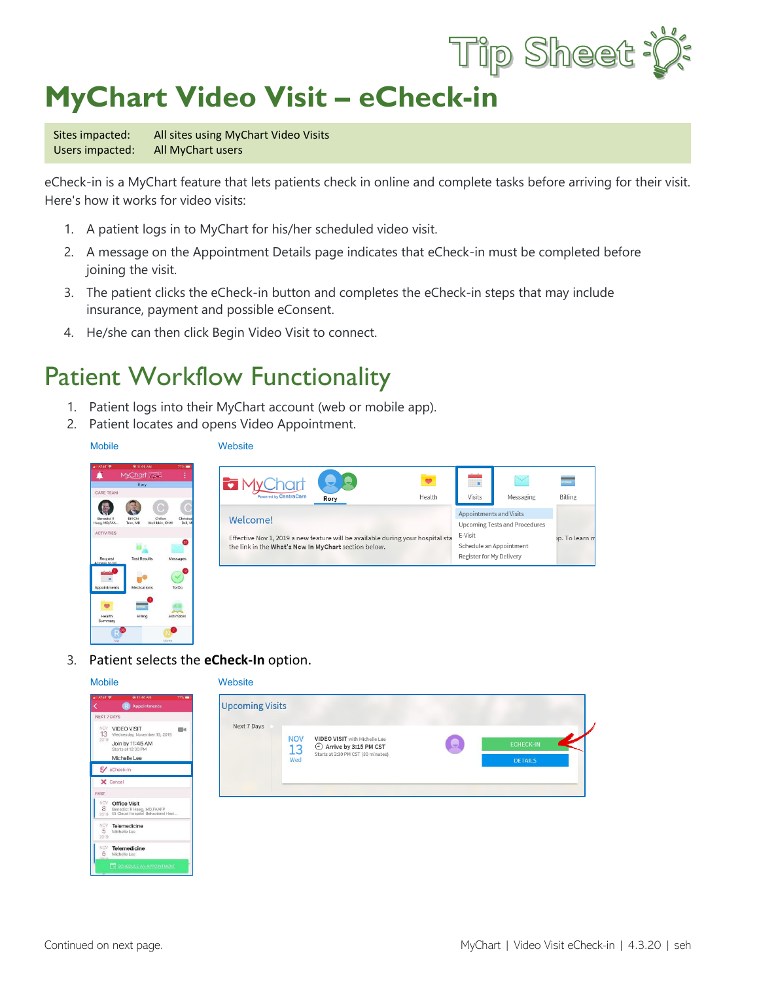

## **MyChart Video Visit - eCheck-in**

Sites impacted: All sites using MyChart Video Visits Users impacted: All MyChart users

eCheck-in is a MyChart feature that lets patients check in online and complete tasks before arriving for their visit. Here's how it works for video visits:

- 1. A patient logs in to MyChart for his/her scheduled video visit.
- 2. A message on the Appointment Details page indicates that eCheck-in must be completed before joining the visit.
- 3. The patient clicks the eCheck-in button and completes the eCheck-in steps that may include insurance, payment and possible eConsent.
- 4. He/she can then click Begin Video Visit to connect.

## Patient Workflow Functionality

- 1. Patient logs into their MyChart account (web or mobile app).
- 2. Patient locates and opens Video Appointment.

Mobile Website



3. Patient selects the **eCheck-In** option.

| <b>Mobile</b>                                                                                                                                      | Website                                                                                                                                                                           |
|----------------------------------------------------------------------------------------------------------------------------------------------------|-----------------------------------------------------------------------------------------------------------------------------------------------------------------------------------|
| <b>@ 11:46 AM</b><br>$72\%$<br><b>AT&amp;T</b><br>Appointments<br>NEXT 7 DAYS                                                                      | <b>Upcoming Visits</b>                                                                                                                                                            |
| <b>NOV</b><br><b>VIDEO VISIT</b><br>$= 4$<br>13<br>Wednesday, November 13, 2019.<br>2019<br>Join by 11:45 AM<br>Starts at 12:00 PM<br>Michelle Lee | Next 7 Days<br><b>NOV</b><br>VIDEO VISIT with Michelle Lee<br>오<br><b>ECHECK-IN</b><br>Arrive by 3:15 PM CST<br>13<br>Starts at 3:30 PM CST (30 minutes)<br>Wed<br><b>DETAILS</b> |
| $\mathcal{G}/$ eCheck-In                                                                                                                           |                                                                                                                                                                                   |
| X Cancel<br><b>PAST</b>                                                                                                                            |                                                                                                                                                                                   |
| <b>NOV</b><br><b>Office Visit</b><br>8<br>8 Benedict R Haeg, MD, FAAFP<br>2019 St Cloud Hospital Behavioral Heal                                   |                                                                                                                                                                                   |
| $5\frac{10}{5}$<br>Telemedicine<br>Michelle Lee<br>2019                                                                                            |                                                                                                                                                                                   |
| $5\frac{10}{5}$<br><b>Telemedicine</b><br>Michelle Lee<br>nnin                                                                                     |                                                                                                                                                                                   |
| SCHEDULE AN APPOINTMENT                                                                                                                            |                                                                                                                                                                                   |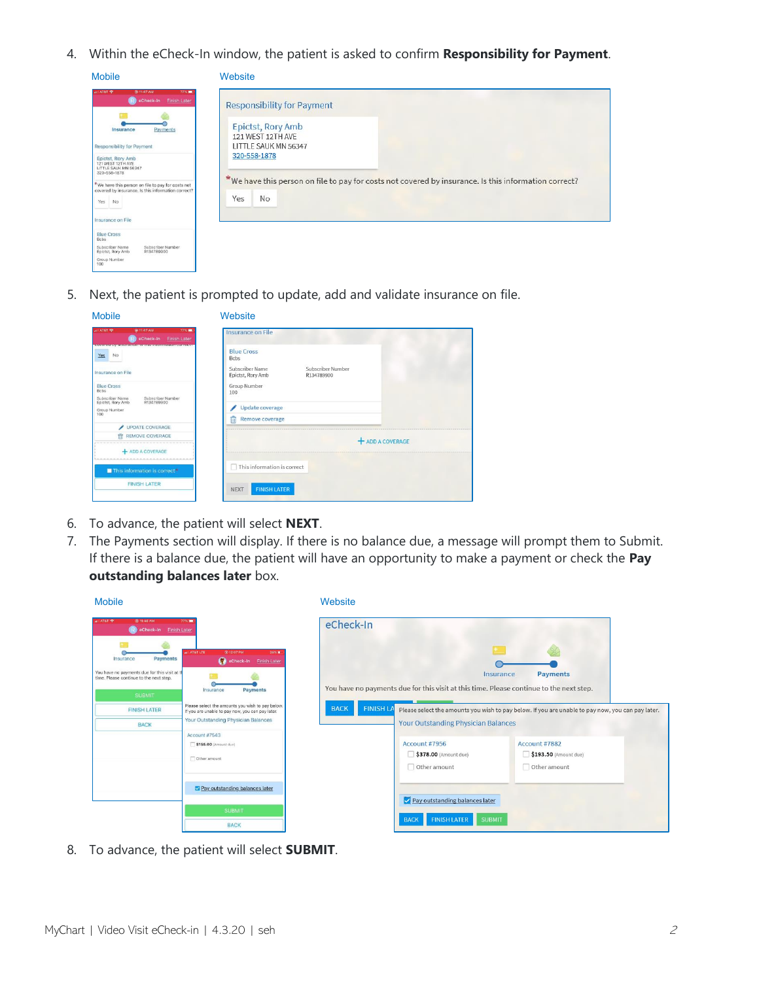4. Within the eCheck-In window, the patient is asked to confirm **Responsibility for Payment**.

| <b>Mobile</b>                                                                                                                                                                                                                                                                                                                                                                                                                                                                    | Website                                                                                                                                                                                                                                  |
|----------------------------------------------------------------------------------------------------------------------------------------------------------------------------------------------------------------------------------------------------------------------------------------------------------------------------------------------------------------------------------------------------------------------------------------------------------------------------------|------------------------------------------------------------------------------------------------------------------------------------------------------------------------------------------------------------------------------------------|
| (6) 11:47 AM<br>all AT&T<br>77%<br>R eCheck-In Finish Later<br>Payments<br>Insurance<br>Responsibility for Payment<br>Epictst, Rory Amb<br>121 WEST 12TH AVE<br>LITTLE SAUK MN 56347<br>320-558-1878<br>*We have this person on file to pay for costs not<br>covered by insurance. Is this information correct?<br>Yes<br>No<br>Insurance on File<br><b>Blue Cross</b><br>Bcbs<br>Subscriber Number<br>Subscriber Name<br>R134789900<br>Epictst, Rory Amb<br>Group Number<br>100 | <b>Responsibility for Payment</b><br>Epictst, Rory Amb<br>121 WEST 12TH AVE<br>LITTLE SAUK MN 56347<br>320-558-1878<br>*We have this person on file to pay for costs not covered by insurance. Is this information correct?<br>No<br>Yes |

5. Next, the patient is prompted to update, add and validate insurance on file.

| <b>Mobile</b>                                                                                                                              | Website                                                                 |
|--------------------------------------------------------------------------------------------------------------------------------------------|-------------------------------------------------------------------------|
| <b>AT&amp;T</b><br>@ 11:47 AM<br><b>77% mm</b><br>eCheck-In<br><b>Finish Later</b><br>COVERED BY INSURANCE IS THIS INTO INSURANCE CONTEXTS | <b>Insurance on File</b>                                                |
| No<br>Yes                                                                                                                                  | <b>Blue Cross</b><br><b>Bcbs</b>                                        |
| Insurance on File                                                                                                                          | Subscriber Number<br>Subscriber Name<br>Epictst, Rory Amb<br>R134789900 |
| <b>Blue Cross</b><br><b>Bcbs</b><br>Subscriber Number<br>Subscriber Name                                                                   | Group Number<br>100                                                     |
| R134789900<br>Epictst, Rory Amb<br>Group Number<br>100                                                                                     | Update coverage<br>侖                                                    |
| UPDATE COVERAGE                                                                                                                            | <b>Remove coverage</b>                                                  |
| <b>REMOVE COVERAGE</b><br>命<br><b>+ ADD A COVERAGE</b>                                                                                     | <b>+ ADD A COVERAGE</b>                                                 |
| This information is correct*                                                                                                               | This information is correct                                             |
| <b>FINISH LATER</b>                                                                                                                        | <b>FINISH LATER</b><br><b>NEXT</b>                                      |

- 6. To advance, the patient will select **NEXT**.
- 7. The Payments section will display. If there is no balance due, a message will prompt them to Submit. If there is a balance due, the patient will have an opportunity to make a payment or check the **Pay outstanding balances later** box.

| <b>Mobile</b>                                                                                                                                                            |                                                                                                                                                                                                                                            | Website                         |                                                                                                                                       |                                                                                                                            |  |
|--------------------------------------------------------------------------------------------------------------------------------------------------------------------------|--------------------------------------------------------------------------------------------------------------------------------------------------------------------------------------------------------------------------------------------|---------------------------------|---------------------------------------------------------------------------------------------------------------------------------------|----------------------------------------------------------------------------------------------------------------------------|--|
| <b>● 11:48 AM</b><br>ATST<br>R eCheck-In Finish Later                                                                                                                    | 77%                                                                                                                                                                                                                                        | eCheck-In                       |                                                                                                                                       |                                                                                                                            |  |
| Payments<br>Insurance<br>You have no payments due for this visit at th<br>time. Please continue to the next step.<br><b>SUBMIT</b><br><b>FINISH LATER</b><br><b>BACK</b> | 0 12:07 PM<br>all AT&T LTE<br>38%<br>eCheck-In Finish Later<br><b>Payments</b><br>Insurance<br>Please select the amounts you wish to pay below.<br>If you are unable to pay now, you can pay later.<br>Your Outstanding Physician Balances | <b>FINISH LA</b><br><b>BACK</b> | You have no payments due for this visit at this time. Please continue to the next step.<br><b>Your Outstanding Physician Balances</b> | Payments<br>Insurance<br>Please select the amounts you wish to pay below. If you are unable to pay now, you can pay later. |  |
|                                                                                                                                                                          | Account #7543<br>\$155.00 (Amount due)<br>Other amount                                                                                                                                                                                     |                                 | Account #7956<br>\$378.00 (Amount due)<br>Other amount                                                                                | Account #7882<br>\$193.50 (Amount due)<br>Other amount                                                                     |  |
|                                                                                                                                                                          | Pay outstanding balances later                                                                                                                                                                                                             |                                 | Pay outstanding balances later                                                                                                        |                                                                                                                            |  |
|                                                                                                                                                                          | <b>SUBMIT</b><br><b>BACK</b>                                                                                                                                                                                                               |                                 | <b>FINISH LATER</b><br><b>SUBMIT</b><br><b>BACK</b>                                                                                   |                                                                                                                            |  |

8. To advance, the patient will select **SUBMIT**.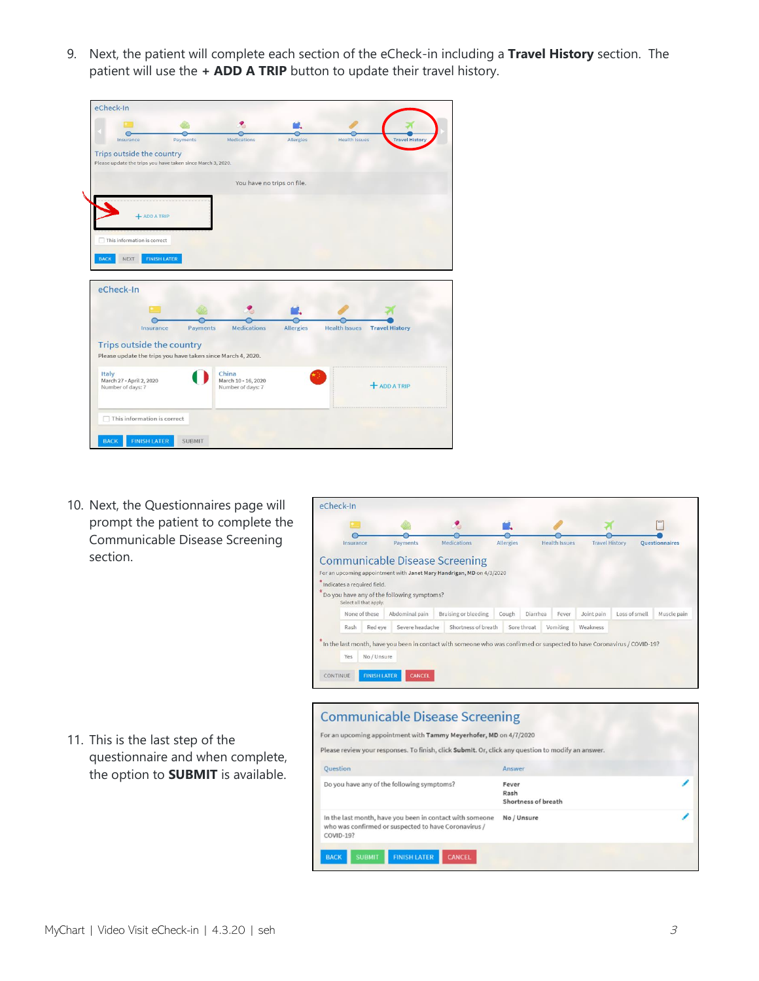9. Next, the patient will complete each section of the eCheck-in including a **Travel History** section. The patient will use the **+ ADD A TRIP** button to update their travel history.

| Insurance                                                                                | Payments      | <b>Medications</b>                       | <b>Allergies</b> | <b>Health Issues</b> | <b>Travel History</b> |
|------------------------------------------------------------------------------------------|---------------|------------------------------------------|------------------|----------------------|-----------------------|
| Trips outside the country<br>Please update the trips you have taken since March 3, 2020. |               |                                          |                  |                      |                       |
|                                                                                          |               | You have no trips on file.               |                  |                      |                       |
|                                                                                          |               |                                          |                  |                      |                       |
| $+$ ADD A TRIP                                                                           |               |                                          |                  |                      |                       |
| $\Box$ This information is correct                                                       |               |                                          |                  |                      |                       |
|                                                                                          |               |                                          |                  |                      |                       |
| <b>FINISH LATER</b><br><b>BACK</b><br>NEXT                                               |               |                                          |                  |                      |                       |
|                                                                                          |               |                                          |                  |                      |                       |
| eCheck-In                                                                                |               |                                          |                  |                      |                       |
|                                                                                          |               |                                          |                  |                      |                       |
|                                                                                          |               |                                          |                  |                      |                       |
|                                                                                          |               |                                          |                  |                      |                       |
| Insurance                                                                                | Payments      | <b>Medications</b>                       | <b>Allergies</b> | <b>Health Issues</b> | <b>Travel History</b> |
|                                                                                          |               |                                          |                  |                      |                       |
|                                                                                          |               |                                          |                  |                      |                       |
| Trips outside the country<br>Please update the trips you have taken since March 4, 2020. |               | China                                    |                  |                      |                       |
| Italy<br>March 27 - April 2, 2020<br>Number of days: 7                                   |               | March 10 - 16, 2020<br>Number of days: 7 |                  |                      | <b>+ ADD A TRIP</b>   |
|                                                                                          |               |                                          |                  |                      |                       |
|                                                                                          |               |                                          |                  |                      |                       |
| $\Box$ This information is correct                                                       |               |                                          |                  |                      |                       |
| <b>FINISH LATER</b><br><b>BACK</b>                                                       | <b>SUBMIT</b> |                                          |                  |                      |                       |

10. Next, the Questionnaires page will prompt the patient to complete the Communicable Disease Screening section.



11. This is the last step of the questionnaire and when complete, the option to **SUBMIT** is available.

## **Communicable Disease Screening** For an upcoming appointment with Tammy Meyerhofer, MD on 4/7/2020

| Question                                                                                                                      | Answer                               |  |
|-------------------------------------------------------------------------------------------------------------------------------|--------------------------------------|--|
| Do you have any of the following symptoms?                                                                                    | Fever<br>Rash<br>Shortness of breath |  |
| In the last month, have you been in contact with someone<br>who was confirmed or suspected to have Coronavirus /<br>COVID-19? | No / Unsure                          |  |
| <b>FINISH LATER</b><br><b>SUBMIT</b><br><b>BACK</b><br><b>CANCEL</b>                                                          |                                      |  |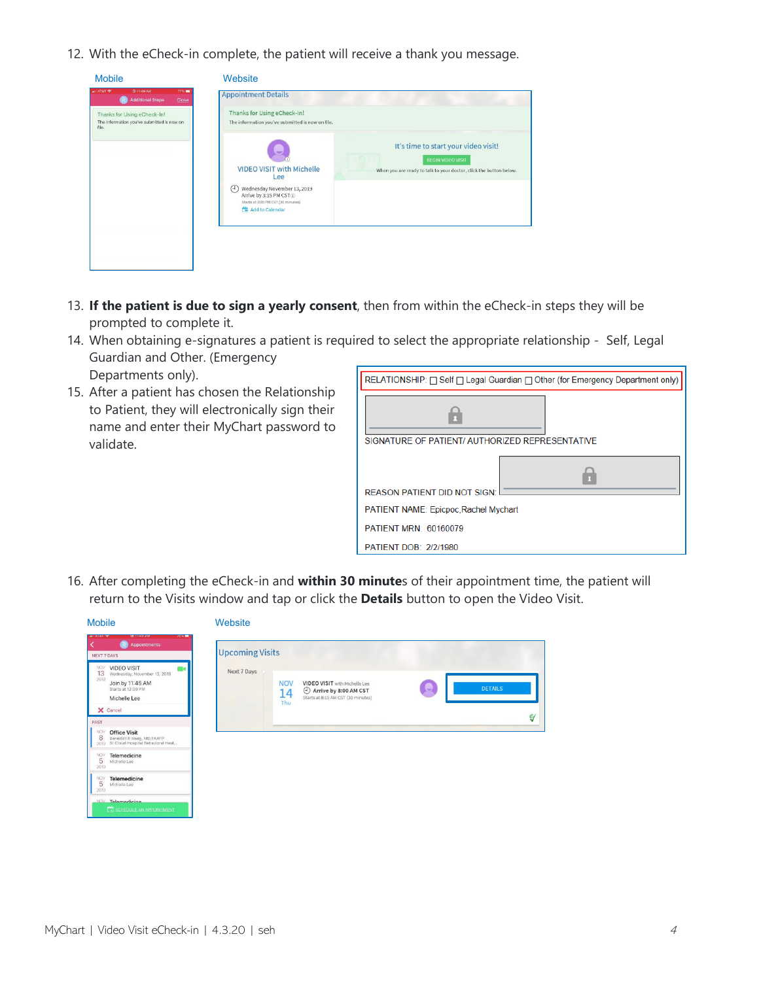12. With the eCheck-in complete, the patient will receive a thank you message.

| <b>Mobile</b>                                                                                               | Website                                                                                                                                                                                                                                                                                                                                                           |
|-------------------------------------------------------------------------------------------------------------|-------------------------------------------------------------------------------------------------------------------------------------------------------------------------------------------------------------------------------------------------------------------------------------------------------------------------------------------------------------------|
| @ 11:49 AM<br>77% <b>mm</b><br>$-1.5787$<br><b>Additional Steps</b><br>Close<br>Thanks for Using eCheck-In! | <b>Appointment Details</b><br>Thanks for Using eCheck-In!                                                                                                                                                                                                                                                                                                         |
| The information you've submitted is now on<br>file.                                                         | The information you've submitted is now on file.<br>It's time to start your video visit!<br><b>BEGIN VIDEO VISIT</b><br><b>VIDEO VISIT with Michelle</b><br>When you are ready to talk to your doctor, click the button below.<br>Lee<br>Wednesday November 13, 2019<br>(4)<br>Arrive by 3:15 PM CST (i)<br>Starts at 3:30 PM CST (30 minutes)<br>Add to Calendar |

- 13. **If the patient is due to sign a yearly consent**, then from within the eCheck-in steps they will be prompted to complete it.
- 14. When obtaining e-signatures a patient is required to select the appropriate relationship Self, Legal Guardian and Other. (Emergency Departments only).
- 15. After a patient has chosen the Relationship to Patient, they will electronically sign their name and enter their MyChart password to validate.

| RELATIONSHIP: □ Self □ Legal Guardian □ Other (for Emergency Department only) |
|-------------------------------------------------------------------------------|
|                                                                               |
| SIGNATURE OF PATIENT/ AUTHORIZED REPRESENTATIVE                               |
| <b>REASON PATIENT DID NOT SIGN:</b>                                           |
| PATIENT NAME: Epicpoc, Rachel Mychart                                         |
|                                                                               |
| PATIENT MRN: 60160079                                                         |
| PATIENT DOB: 2/2/1980                                                         |

16. After completing the eCheck-in and **within 30 minute**s of their appointment time, the patient will return to the Visits window and tap or click the **Details** button to open the Video Visit.

| <b>Mobile</b>                                                                                                                                                               | Website                                                                                                                                                                   |
|-----------------------------------------------------------------------------------------------------------------------------------------------------------------------------|---------------------------------------------------------------------------------------------------------------------------------------------------------------------------|
| (@) 11:49 AM<br><b>ALL AT&amp;T TP</b><br>76%<br><b>Appointments</b><br><b>GR</b><br>NEXT 7 DAYS                                                                            | <b>Upcoming Visits</b>                                                                                                                                                    |
| <b>VIDEO VISIT</b><br><b>NOV</b><br>m۹<br>13<br>Wednesday, November 13, 2019<br>2019<br>Join by 11:45 AM<br>Starts at 12:00 PM<br>Michelle Lee<br>X Cancel<br>PAST          | Next 7 Days<br><b>NOV</b><br>VIDEO VISIT with Michelle Lee<br><b>DETAILS</b><br>Arrive by 8:00 AM CST<br>14<br>Starts at 8:15 AM CST (30 minutes)<br>Thu<br>$\mathscr{C}$ |
| <b>NOV</b><br><b>Office Visit</b><br>8<br>8 Benedict R Haeg, MD, FAAFP<br>2019 St Cloud Hospital Behavioral Heal<br><b>NOV</b><br>Telemedicine<br>5<br>Michelle Lee<br>2019 |                                                                                                                                                                           |
| Telemedicine<br><b>NOV</b><br>5<br>Michelle Lee<br>2019<br>NOV Telemedicine<br>SCHEDULE AN APPOINTMENT                                                                      |                                                                                                                                                                           |